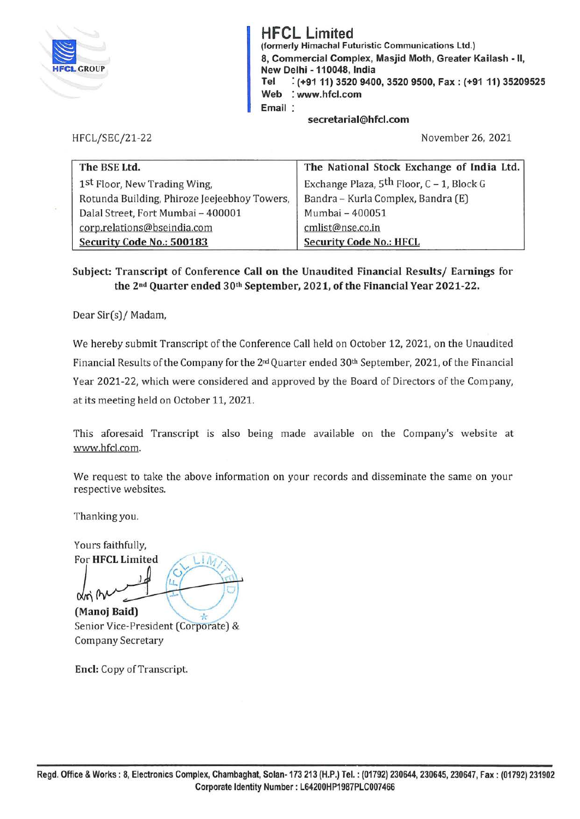

**HFCL Limited**  (formerly Himachal Futuristic Communications Ltd.) 8, Commercial Complex, Masjid Moth, Greater Kailash - II, New Delhi - 110048, India **Tel** : **(+9111) 3520 9400, 3520 9500, Fax: (+91 11) 35209525 Web** : **www.hfcl.com Email** 

HFCL/SEC/21-22

**secretarial@hfcl.com** 

November 26, 2021

| The BSE Ltd.                                 | The National Stock Exchange of India Ltd.             |
|----------------------------------------------|-------------------------------------------------------|
| 1st Floor, New Trading Wing,                 | Exchange Plaza, 5 <sup>th</sup> Floor, C - 1, Block G |
| Rotunda Building, Phiroze Jeejeebhoy Towers, | Bandra - Kurla Complex, Bandra (E)                    |
| Dalal Street, Fort Mumbai - 400001           | Mumbai - 400051                                       |
| corp.relations@bseindia.com                  | cmlist@nse.co.in                                      |
| Security Code No.: 500183                    | <b>Security Code No.: HFCL</b>                        |

**Subject: Transcript of Conference Call on the Unaudited Financial Results/ Earnings for the 2nd Quarter ended 30th September, 2021, of the Financial Year 2021-22.** 

Dear Sir(s)/ Madam,

We hereby submit Transcript of the Conference Call held on October 12, 2021, on the Unaudited Financial Results of the Company for the 2nd Quarter ended 30th September, 2021, of the Financial Year 2021-22, which were considered and approved by the Board of Directors of the Company, at its meeting held on October 11, 2021.

This aforesaid Transcript is also being made available on the Company's website at www.hfcl.com.

We request to take the above information on your records and disseminate the same on your respective websites.

Thanking you.

Yours faithfully, For **HFCL Limited**   $\begin{picture}(160,170) \put(0,0){\line(1,0){150}} \put(10,0){\line(1,0){150}} \put(10,0){\line(1,0){150}} \put(10,0){\line(1,0){150}} \put(10,0){\line(1,0){150}} \put(10,0){\line(1,0){150}} \put(10,0){\line(1,0){150}} \put(10,0){\line(1,0){150}} \put(10,0){\line(1,0){150}} \put(10,0){\line(1,0){150}} \put(10,0){\line(1,0){150$ **(Manoj Baid)** 

Senior Vice-President (Corporate) & Company Secretary

**Encl:** Copy of Transcript.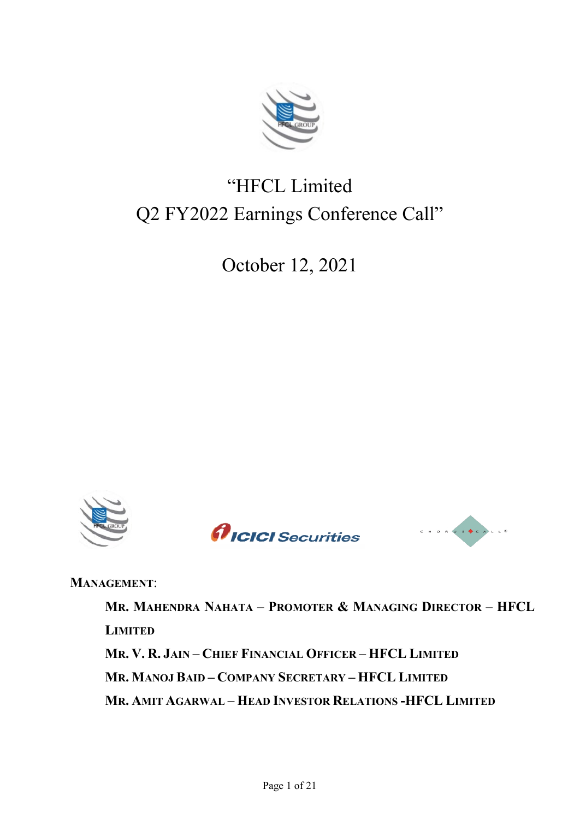

# "HFCL Limited Q2 FY2022 Earnings Conference Call"

October 12, 2021







**MANAGEMENT**:

**MR. MAHENDRA NAHATA – PROMOTER & MANAGING DIRECTOR – HFCL LIMITED MR. V. R. JAIN – CHIEF FINANCIAL OFFICER – HFCL LIMITED MR. MANOJ BAID – COMPANY SECRETARY – HFCL LIMITED MR. AMIT AGARWAL – HEAD INVESTOR RELATIONS -HFCL LIMITED**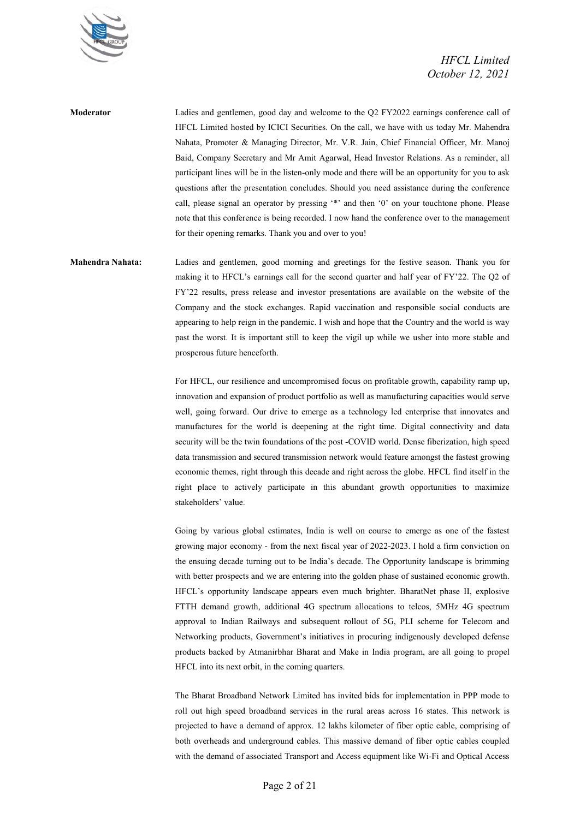

**Moderator** Ladies and gentlemen, good day and welcome to the Q2 FY2022 earnings conference call of HFCL Limited hosted by ICICI Securities. On the call, we have with us today Mr. Mahendra Nahata, Promoter & Managing Director, Mr. V.R. Jain, Chief Financial Officer, Mr. Manoj Baid, Company Secretary and Mr Amit Agarwal, Head Investor Relations. As a reminder, all participant lines will be in the listen-only mode and there will be an opportunity for you to ask questions after the presentation concludes. Should you need assistance during the conference call, please signal an operator by pressing '\*' and then '0' on your touchtone phone. Please note that this conference is being recorded. I now hand the conference over to the management for their opening remarks. Thank you and over to you!

**Mahendra Nahata:** Ladies and gentlemen, good morning and greetings for the festive season. Thank you for making it to HFCL's earnings call for the second quarter and half year of FY'22. The Q2 of FY'22 results, press release and investor presentations are available on the website of the Company and the stock exchanges. Rapid vaccination and responsible social conducts are appearing to help reign in the pandemic. I wish and hope that the Country and the world is way past the worst. It is important still to keep the vigil up while we usher into more stable and prosperous future henceforth.

> For HFCL, our resilience and uncompromised focus on profitable growth, capability ramp up, innovation and expansion of product portfolio as well as manufacturing capacities would serve well, going forward. Our drive to emerge as a technology led enterprise that innovates and manufactures for the world is deepening at the right time. Digital connectivity and data security will be the twin foundations of the post -COVID world. Dense fiberization, high speed data transmission and secured transmission network would feature amongst the fastest growing economic themes, right through this decade and right across the globe. HFCL find itself in the right place to actively participate in this abundant growth opportunities to maximize stakeholders' value.

> Going by various global estimates, India is well on course to emerge as one of the fastest growing major economy - from the next fiscal year of 2022-2023. I hold a firm conviction on the ensuing decade turning out to be India's decade. The Opportunity landscape is brimming with better prospects and we are entering into the golden phase of sustained economic growth. HFCL's opportunity landscape appears even much brighter. BharatNet phase II, explosive FTTH demand growth, additional 4G spectrum allocations to telcos, 5MHz 4G spectrum approval to Indian Railways and subsequent rollout of 5G, PLI scheme for Telecom and Networking products, Government's initiatives in procuring indigenously developed defense products backed by Atmanirbhar Bharat and Make in India program, are all going to propel HFCL into its next orbit, in the coming quarters.

> The Bharat Broadband Network Limited has invited bids for implementation in PPP mode to roll out high speed broadband services in the rural areas across 16 states. This network is projected to have a demand of approx. 12 lakhs kilometer of fiber optic cable, comprising of both overheads and underground cables. This massive demand of fiber optic cables coupled with the demand of associated Transport and Access equipment like Wi-Fi and Optical Access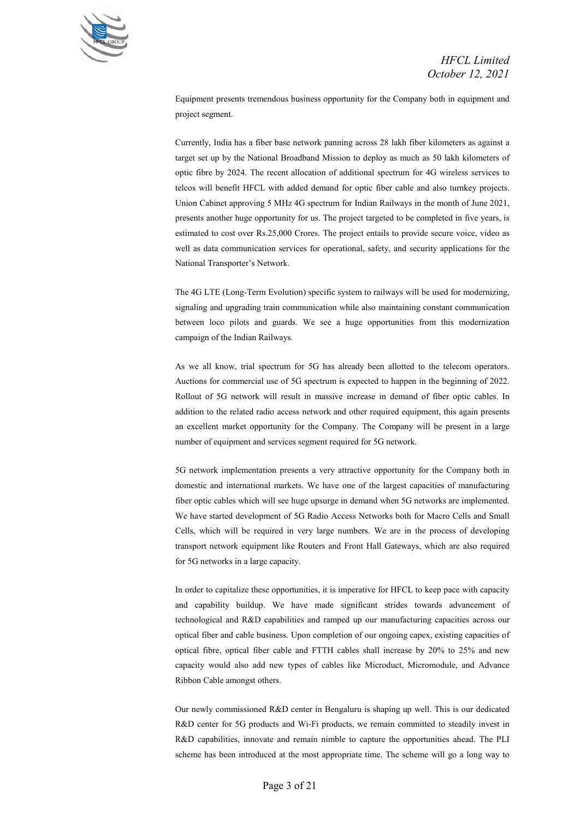

Equipment presents tremendous business opportunity for the Company both in equipment and project segment.

Currently, India has a fiber base network panning across 28 lakh fiber kilometers as against a target set up by the National Broadband Mission to deploy as much as 50 lakh kilometers of optic fibre by 2024. The recent allocation of additional spectrum for 4G wireless services to telcos will benefit HFCL with added demand for optic fiber cable and also turnkey projects. Union Cabinet approving 5 MHz 4G spectrum for Indian Railways in the month of June 2021, presents another huge opportunity for us. The project targeted to be completed in five years, is estimated to cost over Rs.25,000 Crores. The project entails to provide secure voice, video as well as data communication services for operational, safety, and security applications for the National Transporter's Network.

The 4G LTE (Long-Term Evolution) specific system to railways will be used for modernizing, signaling and upgrading train communication while also maintaining constant communication between loco pilots and guards. We see a huge opportunities from this modernization campaign of the Indian Railways.

As we all know, trial spectrum for 5G has already been allotted to the telecom operators. Auctions for commercial use of 5G spectrum is expected to happen in the beginning of 2022. Rollout of 5G network will result in massive increase in demand of fiber optic cables. In addition to the related radio access network and other required equipment, this again presents an excellent market opportunity for the Company. The Company will be present in a large number of equipment and services segment required for 5G network.

5G network implementation presents a very attractive opportunity for the Company both in domestic and international markets. We have one of the largest capacities of manufacturing fiber optic cables which will see huge upsurge in demand when 5G networks are implemented. We have started development of 5G Radio Access Networks both for Macro Cells and Small Cells, which will be required in very large numbers. We are in the process of developing transport network equipment like Routers and Front Hall Gateways, which are also required for 5G networks in a large capacity.

In order to capitalize these opportunities, it is imperative for HFCL to keep pace with capacity and capability buildup. We have made significant strides towards advancement of technological and R&D capabilities and ramped up our manufacturing capacities across our optical fiber and cable business. Upon completion of our ongoing capex, existing capacities of optical fibre, optical fiber cable and FTTH cables shall increase by 20% to 25% and new capacity would also add new types of cables like Microduct, Micromodule, and Advance Ribbon Cable amongst others.

Our newly commissioned R&D center in Bengaluru is shaping up well. This is our dedicated R&D center for 5G products and Wi-Fi products, we remain committed to steadily invest in R&D capabilities, innovate and remain nimble to capture the opportunities ahead. The PLI scheme has been introduced at the most appropriate time. The scheme will go a long way to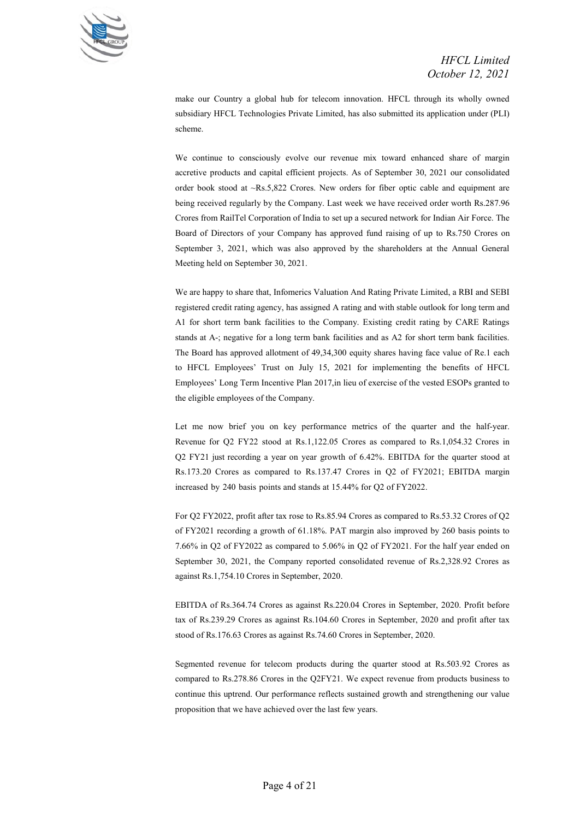

make our Country a global hub for telecom innovation. HFCL through its wholly owned subsidiary HFCL Technologies Private Limited, has also submitted its application under (PLI) scheme.

We continue to consciously evolve our revenue mix toward enhanced share of margin accretive products and capital efficient projects. As of September 30, 2021 our consolidated order book stood at ~Rs.5,822 Crores. New orders for fiber optic cable and equipment are being received regularly by the Company. Last week we have received order worth Rs.287.96 Crores from RailTel Corporation of India to set up a secured network for Indian Air Force. The Board of Directors of your Company has approved fund raising of up to Rs.750 Crores on September 3, 2021, which was also approved by the shareholders at the Annual General Meeting held on September 30, 2021.

We are happy to share that, Infomerics Valuation And Rating Private Limited, a RBI and SEBI registered credit rating agency, has assigned A rating and with stable outlook for long term and A1 for short term bank facilities to the Company. Existing credit rating by CARE Ratings stands at A-; negative for a long term bank facilities and as A2 for short term bank facilities. The Board has approved allotment of 49,34,300 equity shares having face value of Re.1 each to HFCL Employees' Trust on July 15, 2021 for implementing the benefits of HFCL Employees' Long Term Incentive Plan 2017,in lieu of exercise of the vested ESOPs granted to the eligible employees of the Company.

Let me now brief you on key performance metrics of the quarter and the half-year. Revenue for Q2 FY22 stood at Rs.1,122.05 Crores as compared to Rs.1,054.32 Crores in Q2 FY21 just recording a year on year growth of 6.42%. EBITDA for the quarter stood at Rs.173.20 Crores as compared to Rs.137.47 Crores in Q2 of FY2021; EBITDA margin increased by 240 basis points and stands at 15.44% for Q2 of FY2022.

For Q2 FY2022, profit after tax rose to Rs.85.94 Crores as compared to Rs.53.32 Crores of Q2 of FY2021 recording a growth of 61.18%. PAT margin also improved by 260 basis points to 7.66% in Q2 of FY2022 as compared to 5.06% in Q2 of FY2021. For the half year ended on September 30, 2021, the Company reported consolidated revenue of Rs.2,328.92 Crores as against Rs.1,754.10 Crores in September, 2020.

EBITDA of Rs.364.74 Crores as against Rs.220.04 Crores in September, 2020. Profit before tax of Rs.239.29 Crores as against Rs.104.60 Crores in September, 2020 and profit after tax stood of Rs.176.63 Crores as against Rs.74.60 Crores in September, 2020.

Segmented revenue for telecom products during the quarter stood at Rs.503.92 Crores as compared to Rs.278.86 Crores in the Q2FY21. We expect revenue from products business to continue this uptrend. Our performance reflects sustained growth and strengthening our value proposition that we have achieved over the last few years.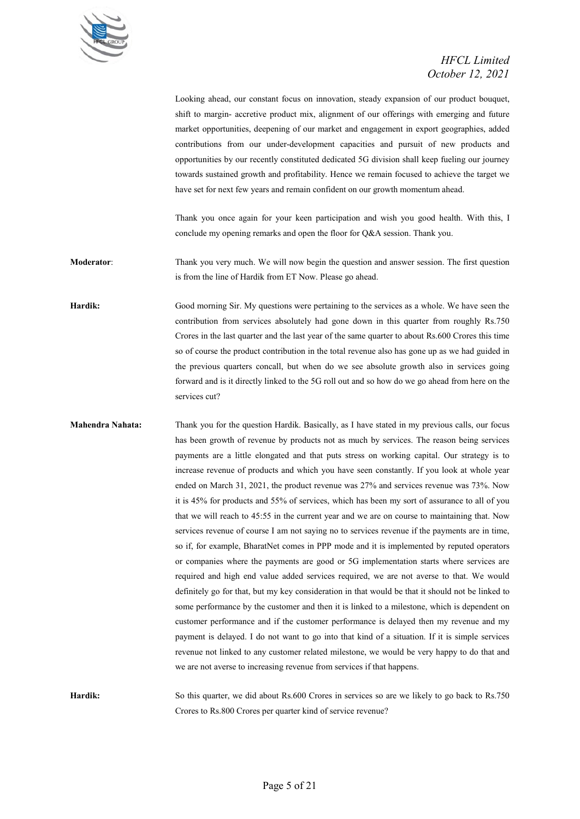

Looking ahead, our constant focus on innovation, steady expansion of our product bouquet, shift to margin- accretive product mix, alignment of our offerings with emerging and future market opportunities, deepening of our market and engagement in export geographies, added contributions from our under-development capacities and pursuit of new products and opportunities by our recently constituted dedicated 5G division shall keep fueling our journey towards sustained growth and profitability. Hence we remain focused to achieve the target we have set for next few years and remain confident on our growth momentum ahead.

Thank you once again for your keen participation and wish you good health. With this, I conclude my opening remarks and open the floor for Q&A session. Thank you.

**Moderator:** Thank you very much. We will now begin the question and answer session. The first question is from the line of Hardik from ET Now. Please go ahead.

**Hardik:** Good morning Sir. My questions were pertaining to the services as a whole. We have seen the contribution from services absolutely had gone down in this quarter from roughly Rs.750 Crores in the last quarter and the last year of the same quarter to about Rs.600 Crores this time so of course the product contribution in the total revenue also has gone up as we had guided in the previous quarters concall, but when do we see absolute growth also in services going forward and is it directly linked to the 5G roll out and so how do we go ahead from here on the services cut?

**Mahendra Nahata:** Thank you for the question Hardik. Basically, as I have stated in my previous calls, our focus has been growth of revenue by products not as much by services. The reason being services payments are a little elongated and that puts stress on working capital. Our strategy is to increase revenue of products and which you have seen constantly. If you look at whole year ended on March 31, 2021, the product revenue was 27% and services revenue was 73%. Now it is 45% for products and 55% of services, which has been my sort of assurance to all of you that we will reach to 45:55 in the current year and we are on course to maintaining that. Now services revenue of course I am not saying no to services revenue if the payments are in time, so if, for example, BharatNet comes in PPP mode and it is implemented by reputed operators or companies where the payments are good or 5G implementation starts where services are required and high end value added services required, we are not averse to that. We would definitely go for that, but my key consideration in that would be that it should not be linked to some performance by the customer and then it is linked to a milestone, which is dependent on customer performance and if the customer performance is delayed then my revenue and my payment is delayed. I do not want to go into that kind of a situation. If it is simple services revenue not linked to any customer related milestone, we would be very happy to do that and we are not averse to increasing revenue from services if that happens.

**Hardik:** So this quarter, we did about Rs.600 Crores in services so are we likely to go back to Rs.750 Crores to Rs.800 Crores per quarter kind of service revenue?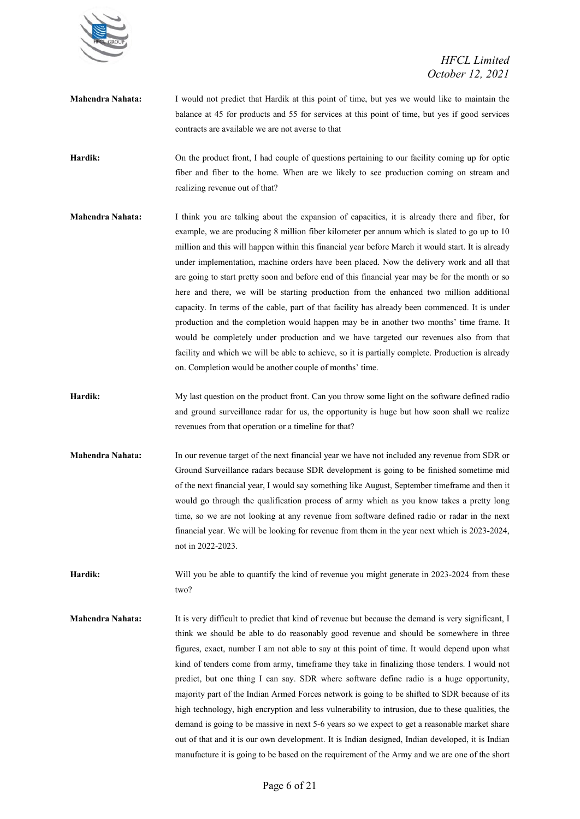

**Mahendra Nahata:** I would not predict that Hardik at this point of time, but yes we would like to maintain the balance at 45 for products and 55 for services at this point of time, but yes if good services contracts are available we are not averse to that

**Hardik:** On the product front, I had couple of questions pertaining to our facility coming up for optic fiber and fiber to the home. When are we likely to see production coming on stream and realizing revenue out of that?

- **Mahendra Nahata:** I think you are talking about the expansion of capacities, it is already there and fiber, for example, we are producing 8 million fiber kilometer per annum which is slated to go up to 10 million and this will happen within this financial year before March it would start. It is already under implementation, machine orders have been placed. Now the delivery work and all that are going to start pretty soon and before end of this financial year may be for the month or so here and there, we will be starting production from the enhanced two million additional capacity. In terms of the cable, part of that facility has already been commenced. It is under production and the completion would happen may be in another two months' time frame. It would be completely under production and we have targeted our revenues also from that facility and which we will be able to achieve, so it is partially complete. Production is already on. Completion would be another couple of months' time.
- **Hardik:** My last question on the product front. Can you throw some light on the software defined radio and ground surveillance radar for us, the opportunity is huge but how soon shall we realize revenues from that operation or a timeline for that?
- **Mahendra Nahata:** In our revenue target of the next financial year we have not included any revenue from SDR or Ground Surveillance radars because SDR development is going to be finished sometime mid of the next financial year, I would say something like August, September timeframe and then it would go through the qualification process of army which as you know takes a pretty long time, so we are not looking at any revenue from software defined radio or radar in the next financial year. We will be looking for revenue from them in the year next which is 2023-2024, not in 2022-2023.

**Hardik:** Will you be able to quantify the kind of revenue you might generate in 2023-2024 from these two?

**Mahendra Nahata:** It is very difficult to predict that kind of revenue but because the demand is very significant, I think we should be able to do reasonably good revenue and should be somewhere in three figures, exact, number I am not able to say at this point of time. It would depend upon what kind of tenders come from army, timeframe they take in finalizing those tenders. I would not predict, but one thing I can say. SDR where software define radio is a huge opportunity, majority part of the Indian Armed Forces network is going to be shifted to SDR because of its high technology, high encryption and less vulnerability to intrusion, due to these qualities, the demand is going to be massive in next 5-6 years so we expect to get a reasonable market share out of that and it is our own development. It is Indian designed, Indian developed, it is Indian manufacture it is going to be based on the requirement of the Army and we are one of the short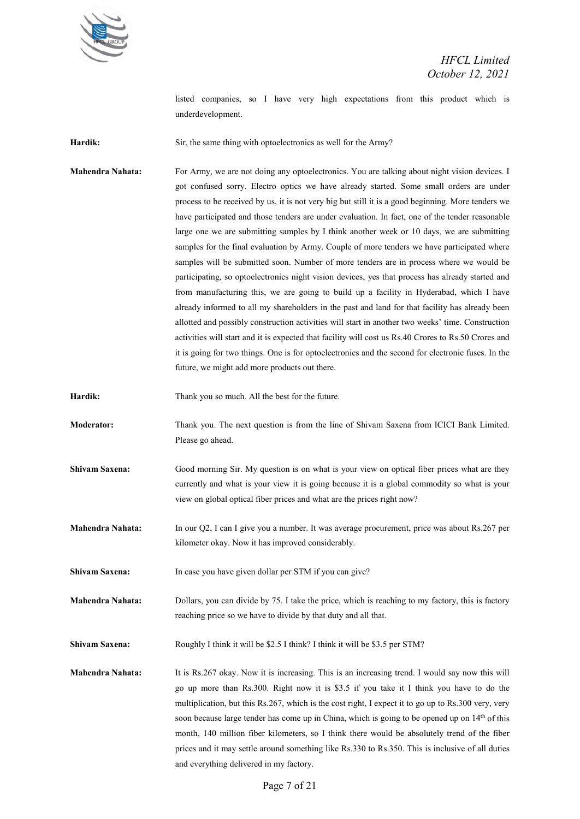

listed companies, so I have very high expectations from this product which is underdevelopment.

Hardik: Sir, the same thing with optoelectronics as well for the Army?

**Mahendra Nahata:** For Army, we are not doing any optoelectronics. You are talking about night vision devices. I got confused sorry. Electro optics we have already started. Some small orders are under process to be received by us, it is not very big but still it is a good beginning. More tenders we have participated and those tenders are under evaluation. In fact, one of the tender reasonable large one we are submitting samples by I think another week or 10 days, we are submitting samples for the final evaluation by Army. Couple of more tenders we have participated where samples will be submitted soon. Number of more tenders are in process where we would be participating, so optoelectronics night vision devices, yes that process has already started and from manufacturing this, we are going to build up a facility in Hyderabad, which I have already informed to all my shareholders in the past and land for that facility has already been allotted and possibly construction activities will start in another two weeks' time. Construction activities will start and it is expected that facility will cost us Rs.40 Crores to Rs.50 Crores and it is going for two things. One is for optoelectronics and the second for electronic fuses. In the future, we might add more products out there.

Hardik: Thank you so much. All the best for the future.

**Moderator:** Thank you. The next question is from the line of Shivam Saxena from ICICI Bank Limited. Please go ahead.

**Shivam Saxena:** Good morning Sir. My question is on what is your view on optical fiber prices what are they currently and what is your view it is going because it is a global commodity so what is your view on global optical fiber prices and what are the prices right now?

**Mahendra Nahata:** In our Q2, I can I give you a number. It was average procurement, price was about Rs.267 per kilometer okay. Now it has improved considerably.

Shivam Saxena: In case you have given dollar per STM if you can give?

**Mahendra Nahata:** Dollars, you can divide by 75. I take the price, which is reaching to my factory, this is factory reaching price so we have to divide by that duty and all that.

**Shivam Saxena:** Roughly I think it will be \$2.5 I think? I think it will be \$3.5 per STM?

**Mahendra Nahata:** It is Rs.267 okay. Now it is increasing. This is an increasing trend. I would say now this will go up more than Rs.300. Right now it is \$3.5 if you take it I think you have to do the multiplication, but this Rs.267, which is the cost right, I expect it to go up to Rs.300 very, very soon because large tender has come up in China, which is going to be opened up on 14<sup>th</sup> of this month, 140 million fiber kilometers, so I think there would be absolutely trend of the fiber prices and it may settle around something like Rs.330 to Rs.350. This is inclusive of all duties and everything delivered in my factory.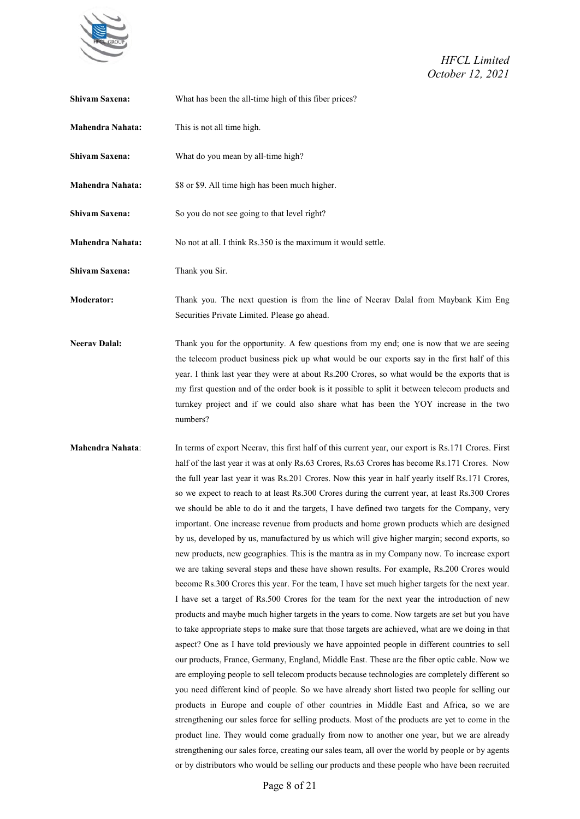

| Shivam Saxena:       | What has been the all-time high of this fiber prices?                                                                                                                                                                                                                                                                                                                                                                                                                                                                                                                                                                                                                                                                                                                                                                                                                                                                                                                                                                                                                                                                                                                                                                                                                                                                                                                                                                                                                                                                                                                                                                                                                                                                                                                                                                                                                                                                                                                                                                                                                                                                                                                                                         |
|----------------------|---------------------------------------------------------------------------------------------------------------------------------------------------------------------------------------------------------------------------------------------------------------------------------------------------------------------------------------------------------------------------------------------------------------------------------------------------------------------------------------------------------------------------------------------------------------------------------------------------------------------------------------------------------------------------------------------------------------------------------------------------------------------------------------------------------------------------------------------------------------------------------------------------------------------------------------------------------------------------------------------------------------------------------------------------------------------------------------------------------------------------------------------------------------------------------------------------------------------------------------------------------------------------------------------------------------------------------------------------------------------------------------------------------------------------------------------------------------------------------------------------------------------------------------------------------------------------------------------------------------------------------------------------------------------------------------------------------------------------------------------------------------------------------------------------------------------------------------------------------------------------------------------------------------------------------------------------------------------------------------------------------------------------------------------------------------------------------------------------------------------------------------------------------------------------------------------------------------|
| Mahendra Nahata:     | This is not all time high.                                                                                                                                                                                                                                                                                                                                                                                                                                                                                                                                                                                                                                                                                                                                                                                                                                                                                                                                                                                                                                                                                                                                                                                                                                                                                                                                                                                                                                                                                                                                                                                                                                                                                                                                                                                                                                                                                                                                                                                                                                                                                                                                                                                    |
| Shivam Saxena:       | What do you mean by all-time high?                                                                                                                                                                                                                                                                                                                                                                                                                                                                                                                                                                                                                                                                                                                                                                                                                                                                                                                                                                                                                                                                                                                                                                                                                                                                                                                                                                                                                                                                                                                                                                                                                                                                                                                                                                                                                                                                                                                                                                                                                                                                                                                                                                            |
| Mahendra Nahata:     | \$8 or \$9. All time high has been much higher.                                                                                                                                                                                                                                                                                                                                                                                                                                                                                                                                                                                                                                                                                                                                                                                                                                                                                                                                                                                                                                                                                                                                                                                                                                                                                                                                                                                                                                                                                                                                                                                                                                                                                                                                                                                                                                                                                                                                                                                                                                                                                                                                                               |
| Shivam Saxena:       | So you do not see going to that level right?                                                                                                                                                                                                                                                                                                                                                                                                                                                                                                                                                                                                                                                                                                                                                                                                                                                                                                                                                                                                                                                                                                                                                                                                                                                                                                                                                                                                                                                                                                                                                                                                                                                                                                                                                                                                                                                                                                                                                                                                                                                                                                                                                                  |
| Mahendra Nahata:     | No not at all. I think Rs.350 is the maximum it would settle.                                                                                                                                                                                                                                                                                                                                                                                                                                                                                                                                                                                                                                                                                                                                                                                                                                                                                                                                                                                                                                                                                                                                                                                                                                                                                                                                                                                                                                                                                                                                                                                                                                                                                                                                                                                                                                                                                                                                                                                                                                                                                                                                                 |
| Shivam Saxena:       | Thank you Sir.                                                                                                                                                                                                                                                                                                                                                                                                                                                                                                                                                                                                                                                                                                                                                                                                                                                                                                                                                                                                                                                                                                                                                                                                                                                                                                                                                                                                                                                                                                                                                                                                                                                                                                                                                                                                                                                                                                                                                                                                                                                                                                                                                                                                |
| <b>Moderator:</b>    | Thank you. The next question is from the line of Neerav Dalal from Maybank Kim Eng<br>Securities Private Limited. Please go ahead.                                                                                                                                                                                                                                                                                                                                                                                                                                                                                                                                                                                                                                                                                                                                                                                                                                                                                                                                                                                                                                                                                                                                                                                                                                                                                                                                                                                                                                                                                                                                                                                                                                                                                                                                                                                                                                                                                                                                                                                                                                                                            |
| <b>Neerav Dalal:</b> | Thank you for the opportunity. A few questions from my end; one is now that we are seeing<br>the telecom product business pick up what would be our exports say in the first half of this<br>year. I think last year they were at about Rs.200 Crores, so what would be the exports that is<br>my first question and of the order book is it possible to split it between telecom products and<br>turnkey project and if we could also share what has been the YOY increase in the two<br>numbers?                                                                                                                                                                                                                                                                                                                                                                                                                                                                                                                                                                                                                                                                                                                                                                                                                                                                                                                                                                                                                                                                                                                                                                                                                                                                                                                                                                                                                                                                                                                                                                                                                                                                                                            |
| Mahendra Nahata:     | In terms of export Neerav, this first half of this current year, our export is Rs.171 Crores. First<br>half of the last year it was at only Rs.63 Crores, Rs.63 Crores has become Rs.171 Crores. Now<br>the full year last year it was Rs.201 Crores. Now this year in half yearly itself Rs.171 Crores,<br>so we expect to reach to at least Rs.300 Crores during the current year, at least Rs.300 Crores<br>we should be able to do it and the targets, I have defined two targets for the Company, very<br>important. One increase revenue from products and home grown products which are designed<br>by us, developed by us, manufactured by us which will give higher margin; second exports, so<br>new products, new geographies. This is the mantra as in my Company now. To increase export<br>we are taking several steps and these have shown results. For example, Rs.200 Crores would<br>become Rs.300 Crores this year. For the team, I have set much higher targets for the next year.<br>I have set a target of Rs.500 Crores for the team for the next year the introduction of new<br>products and maybe much higher targets in the years to come. Now targets are set but you have<br>to take appropriate steps to make sure that those targets are achieved, what are we doing in that<br>aspect? One as I have told previously we have appointed people in different countries to sell<br>our products, France, Germany, England, Middle East. These are the fiber optic cable. Now we<br>are employing people to sell telecom products because technologies are completely different so<br>you need different kind of people. So we have already short listed two people for selling our<br>products in Europe and couple of other countries in Middle East and Africa, so we are<br>strengthening our sales force for selling products. Most of the products are yet to come in the<br>product line. They would come gradually from now to another one year, but we are already<br>strengthening our sales force, creating our sales team, all over the world by people or by agents<br>or by distributors who would be selling our products and these people who have been recruited |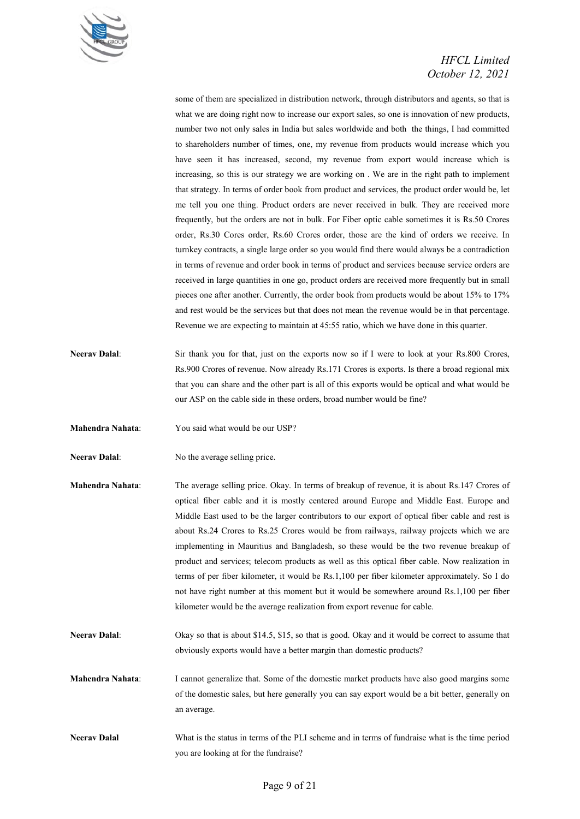

some of them are specialized in distribution network, through distributors and agents, so that is what we are doing right now to increase our export sales, so one is innovation of new products, number two not only sales in India but sales worldwide and both the things, I had committed to shareholders number of times, one, my revenue from products would increase which you have seen it has increased, second, my revenue from export would increase which is increasing, so this is our strategy we are working on . We are in the right path to implement that strategy. In terms of order book from product and services, the product order would be, let me tell you one thing. Product orders are never received in bulk. They are received more frequently, but the orders are not in bulk. For Fiber optic cable sometimes it is Rs.50 Crores order, Rs.30 Cores order, Rs.60 Crores order, those are the kind of orders we receive. In turnkey contracts, a single large order so you would find there would always be a contradiction in terms of revenue and order book in terms of product and services because service orders are received in large quantities in one go, product orders are received more frequently but in small pieces one after another. Currently, the order book from products would be about 15% to 17% and rest would be the services but that does not mean the revenue would be in that percentage. Revenue we are expecting to maintain at 45:55 ratio, which we have done in this quarter.

- **Neerav Dalal**: Sir thank you for that, just on the exports now so if I were to look at your Rs.800 Crores, Rs.900 Crores of revenue. Now already Rs.171 Crores is exports. Is there a broad regional mix that you can share and the other part is all of this exports would be optical and what would be our ASP on the cable side in these orders, broad number would be fine?
- **Mahendra Nahata**: You said what would be our USP?
- **Neerav Dalal**: No the average selling price.
- **Mahendra Nahata**: The average selling price. Okay. In terms of breakup of revenue, it is about Rs.147 Crores of optical fiber cable and it is mostly centered around Europe and Middle East. Europe and Middle East used to be the larger contributors to our export of optical fiber cable and rest is about Rs.24 Crores to Rs.25 Crores would be from railways, railway projects which we are implementing in Mauritius and Bangladesh, so these would be the two revenue breakup of product and services; telecom products as well as this optical fiber cable. Now realization in terms of per fiber kilometer, it would be Rs.1,100 per fiber kilometer approximately. So I do not have right number at this moment but it would be somewhere around Rs.1,100 per fiber kilometer would be the average realization from export revenue for cable.
- **Neerav Dalal**: Okay so that is about \$14.5, \$15, so that is good. Okay and it would be correct to assume that obviously exports would have a better margin than domestic products?
- **Mahendra Nahata**: I cannot generalize that. Some of the domestic market products have also good margins some of the domestic sales, but here generally you can say export would be a bit better, generally on an average.
- **Neerav Dalal** What is the status in terms of the PLI scheme and in terms of fundraise what is the time period you are looking at for the fundraise?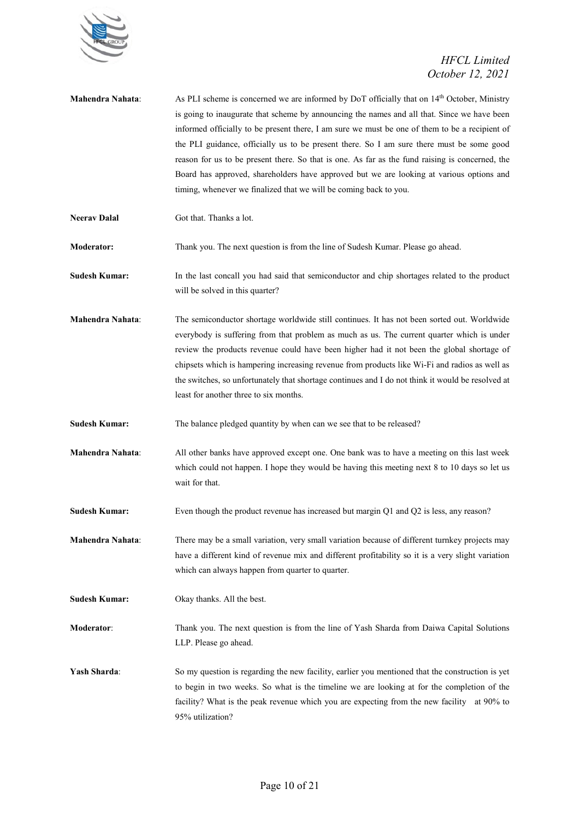

| Mahendra Nahata:        | As PLI scheme is concerned we are informed by DoT officially that on 14 <sup>th</sup> October, Ministry<br>is going to inaugurate that scheme by announcing the names and all that. Since we have been<br>informed officially to be present there, I am sure we must be one of them to be a recipient of<br>the PLI guidance, officially us to be present there. So I am sure there must be some good<br>reason for us to be present there. So that is one. As far as the fund raising is concerned, the<br>Board has approved, shareholders have approved but we are looking at various options and<br>timing, whenever we finalized that we will be coming back to you. |
|-------------------------|---------------------------------------------------------------------------------------------------------------------------------------------------------------------------------------------------------------------------------------------------------------------------------------------------------------------------------------------------------------------------------------------------------------------------------------------------------------------------------------------------------------------------------------------------------------------------------------------------------------------------------------------------------------------------|
| <b>Neerav Dalal</b>     | Got that. Thanks a lot.                                                                                                                                                                                                                                                                                                                                                                                                                                                                                                                                                                                                                                                   |
| <b>Moderator:</b>       | Thank you. The next question is from the line of Sudesh Kumar. Please go ahead.                                                                                                                                                                                                                                                                                                                                                                                                                                                                                                                                                                                           |
| <b>Sudesh Kumar:</b>    | In the last concall you had said that semiconductor and chip shortages related to the product<br>will be solved in this quarter?                                                                                                                                                                                                                                                                                                                                                                                                                                                                                                                                          |
| <b>Mahendra Nahata:</b> | The semiconductor shortage worldwide still continues. It has not been sorted out. Worldwide<br>everybody is suffering from that problem as much as us. The current quarter which is under<br>review the products revenue could have been higher had it not been the global shortage of<br>chipsets which is hampering increasing revenue from products like Wi-Fi and radios as well as<br>the switches, so unfortunately that shortage continues and I do not think it would be resolved at<br>least for another three to six months.                                                                                                                                    |
| <b>Sudesh Kumar:</b>    | The balance pledged quantity by when can we see that to be released?                                                                                                                                                                                                                                                                                                                                                                                                                                                                                                                                                                                                      |
| Mahendra Nahata:        | All other banks have approved except one. One bank was to have a meeting on this last week<br>which could not happen. I hope they would be having this meeting next 8 to 10 days so let us<br>wait for that.                                                                                                                                                                                                                                                                                                                                                                                                                                                              |
| <b>Sudesh Kumar:</b>    | Even though the product revenue has increased but margin $Q1$ and $Q2$ is less, any reason?                                                                                                                                                                                                                                                                                                                                                                                                                                                                                                                                                                               |
| Mahendra Nahata:        | There may be a small variation, very small variation because of different turnkey projects may<br>have a different kind of revenue mix and different profitability so it is a very slight variation<br>which can always happen from quarter to quarter.                                                                                                                                                                                                                                                                                                                                                                                                                   |
| <b>Sudesh Kumar:</b>    | Okay thanks. All the best.                                                                                                                                                                                                                                                                                                                                                                                                                                                                                                                                                                                                                                                |
| Moderator:              | Thank you. The next question is from the line of Yash Sharda from Daiwa Capital Solutions<br>LLP. Please go ahead.                                                                                                                                                                                                                                                                                                                                                                                                                                                                                                                                                        |
| Yash Sharda:            | So my question is regarding the new facility, earlier you mentioned that the construction is yet<br>to begin in two weeks. So what is the timeline we are looking at for the completion of the<br>facility? What is the peak revenue which you are expecting from the new facility at 90% to<br>95% utilization?                                                                                                                                                                                                                                                                                                                                                          |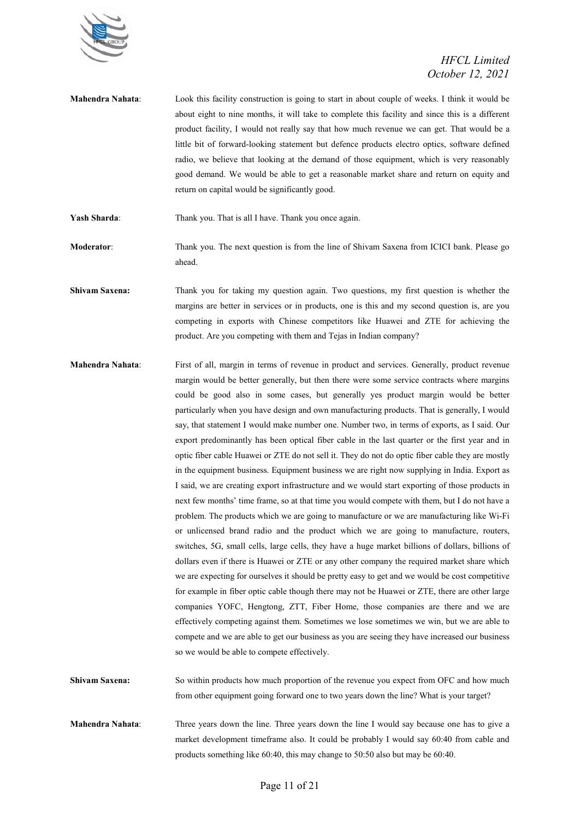

**Mahendra Nahata**: Look this facility construction is going to start in about couple of weeks. I think it would be about eight to nine months, it will take to complete this facility and since this is a different product facility, I would not really say that how much revenue we can get. That would be a little bit of forward-looking statement but defence products electro optics, software defined radio, we believe that looking at the demand of those equipment, which is very reasonably good demand. We would be able to get a reasonable market share and return on equity and return on capital would be significantly good.

Yash Sharda: Thank you. That is all I have. Thank you once again.

**Moderator**: Thank you. The next question is from the line of Shivam Saxena from ICICI bank. Please go ahead.

**Shivam Saxena:** Thank you for taking my question again. Two questions, my first question is whether the margins are better in services or in products, one is this and my second question is, are you competing in exports with Chinese competitors like Huawei and ZTE for achieving the product. Are you competing with them and Tejas in Indian company?

**Mahendra Nahata**: First of all, margin in terms of revenue in product and services. Generally, product revenue margin would be better generally, but then there were some service contracts where margins could be good also in some cases, but generally yes product margin would be better particularly when you have design and own manufacturing products. That is generally, I would say, that statement I would make number one. Number two, in terms of exports, as I said. Our export predominantly has been optical fiber cable in the last quarter or the first year and in optic fiber cable Huawei or ZTE do not sell it. They do not do optic fiber cable they are mostly in the equipment business. Equipment business we are right now supplying in India. Export as I said, we are creating export infrastructure and we would start exporting of those products in next few months' time frame, so at that time you would compete with them, but I do not have a problem. The products which we are going to manufacture or we are manufacturing like Wi-Fi or unlicensed brand radio and the product which we are going to manufacture, routers, switches, 5G, small cells, large cells, they have a huge market billions of dollars, billions of dollars even if there is Huawei or ZTE or any other company the required market share which we are expecting for ourselves it should be pretty easy to get and we would be cost competitive for example in fiber optic cable though there may not be Huawei or ZTE, there are other large companies YOFC, Hengtong, ZTT, Fiber Home, those companies are there and we are effectively competing against them. Sometimes we lose sometimes we win, but we are able to compete and we are able to get our business as you are seeing they have increased our business so we would be able to compete effectively.

**Shivam Saxena:** So within products how much proportion of the revenue you expect from OFC and how much from other equipment going forward one to two years down the line? What is your target?

**Mahendra Nahata**: Three years down the line. Three years down the line I would say because one has to give a market development timeframe also. It could be probably I would say 60:40 from cable and products something like 60:40, this may change to 50:50 also but may be 60:40.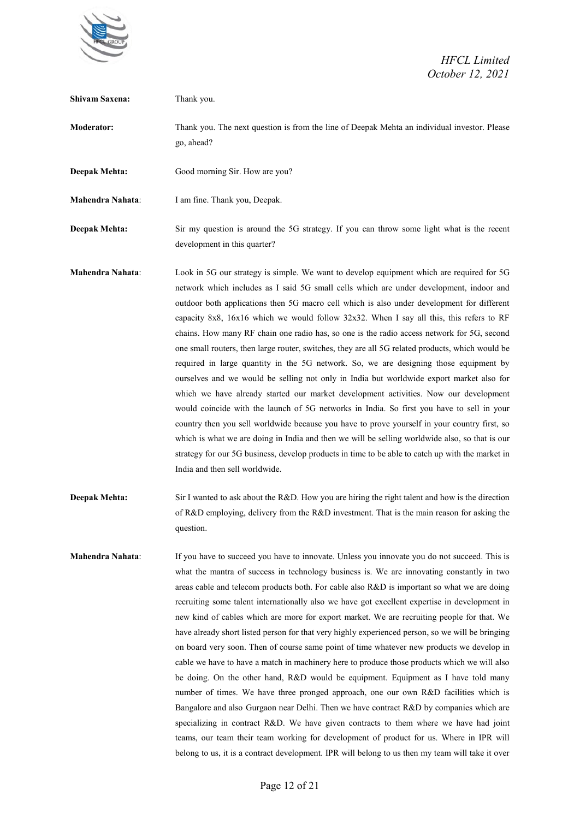

| <b>Shivam Saxena:</b>   | Thank you.                                                                                                                                                                                                                                                                                                                                                                                                                                                                                                                                                                                                                                                                                                                                                                                                                                                                                                                                                                                                                                                                                                                                                                                                                                                                                                                                                |
|-------------------------|-----------------------------------------------------------------------------------------------------------------------------------------------------------------------------------------------------------------------------------------------------------------------------------------------------------------------------------------------------------------------------------------------------------------------------------------------------------------------------------------------------------------------------------------------------------------------------------------------------------------------------------------------------------------------------------------------------------------------------------------------------------------------------------------------------------------------------------------------------------------------------------------------------------------------------------------------------------------------------------------------------------------------------------------------------------------------------------------------------------------------------------------------------------------------------------------------------------------------------------------------------------------------------------------------------------------------------------------------------------|
| <b>Moderator:</b>       | Thank you. The next question is from the line of Deepak Mehta an individual investor. Please<br>go, ahead?                                                                                                                                                                                                                                                                                                                                                                                                                                                                                                                                                                                                                                                                                                                                                                                                                                                                                                                                                                                                                                                                                                                                                                                                                                                |
| Deepak Mehta:           | Good morning Sir. How are you?                                                                                                                                                                                                                                                                                                                                                                                                                                                                                                                                                                                                                                                                                                                                                                                                                                                                                                                                                                                                                                                                                                                                                                                                                                                                                                                            |
| <b>Mahendra Nahata:</b> | I am fine. Thank you, Deepak.                                                                                                                                                                                                                                                                                                                                                                                                                                                                                                                                                                                                                                                                                                                                                                                                                                                                                                                                                                                                                                                                                                                                                                                                                                                                                                                             |
| <b>Deepak Mehta:</b>    | Sir my question is around the 5G strategy. If you can throw some light what is the recent<br>development in this quarter?                                                                                                                                                                                                                                                                                                                                                                                                                                                                                                                                                                                                                                                                                                                                                                                                                                                                                                                                                                                                                                                                                                                                                                                                                                 |
| Mahendra Nahata:        | Look in 5G our strategy is simple. We want to develop equipment which are required for 5G<br>network which includes as I said 5G small cells which are under development, indoor and<br>outdoor both applications then 5G macro cell which is also under development for different<br>capacity 8x8, $16x16$ which we would follow 32x32. When I say all this, this refers to RF<br>chains. How many RF chain one radio has, so one is the radio access network for 5G, second<br>one small routers, then large router, switches, they are all 5G related products, which would be<br>required in large quantity in the 5G network. So, we are designing those equipment by<br>ourselves and we would be selling not only in India but worldwide export market also for<br>which we have already started our market development activities. Now our development<br>would coincide with the launch of 5G networks in India. So first you have to sell in your<br>country then you sell worldwide because you have to prove yourself in your country first, so<br>which is what we are doing in India and then we will be selling worldwide also, so that is our<br>strategy for our 5G business, develop products in time to be able to catch up with the market in<br>India and then sell worldwide.                                                       |
| <b>Deepak Mehta:</b>    | Sir I wanted to ask about the R&D. How you are hiring the right talent and how is the direction<br>of R&D employing, delivery from the R&D investment. That is the main reason for asking the<br>question.                                                                                                                                                                                                                                                                                                                                                                                                                                                                                                                                                                                                                                                                                                                                                                                                                                                                                                                                                                                                                                                                                                                                                |
| <b>Mahendra Nahata:</b> | If you have to succeed you have to innovate. Unless you innovate you do not succeed. This is<br>what the mantra of success in technology business is. We are innovating constantly in two<br>areas cable and telecom products both. For cable also R&D is important so what we are doing<br>recruiting some talent internationally also we have got excellent expertise in development in<br>new kind of cables which are more for export market. We are recruiting people for that. We<br>have already short listed person for that very highly experienced person, so we will be bringing<br>on board very soon. Then of course same point of time whatever new products we develop in<br>cable we have to have a match in machinery here to produce those products which we will also<br>be doing. On the other hand, R&D would be equipment. Equipment as I have told many<br>number of times. We have three pronged approach, one our own R&D facilities which is<br>Bangalore and also Gurgaon near Delhi. Then we have contract R&D by companies which are<br>specializing in contract R&D. We have given contracts to them where we have had joint<br>teams, our team their team working for development of product for us. Where in IPR will<br>belong to us, it is a contract development. IPR will belong to us then my team will take it over |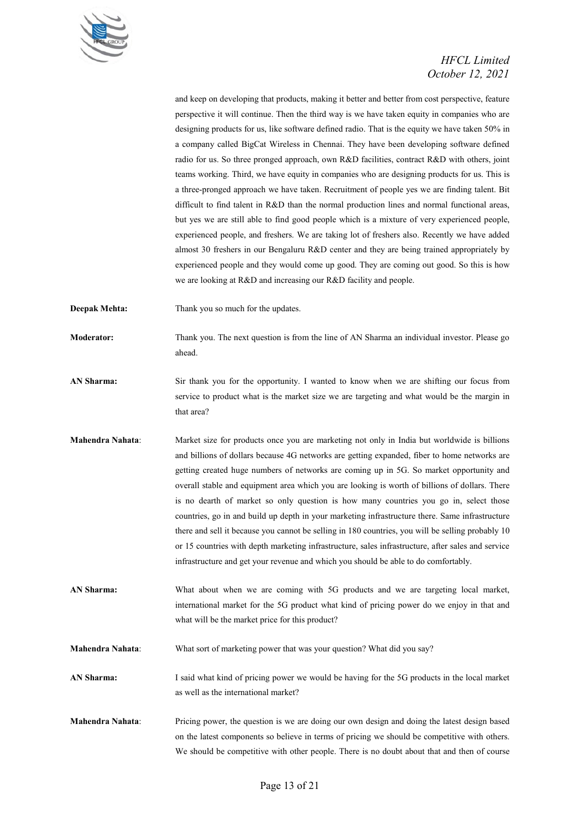

and keep on developing that products, making it better and better from cost perspective, feature perspective it will continue. Then the third way is we have taken equity in companies who are designing products for us, like software defined radio. That is the equity we have taken 50% in a company called BigCat Wireless in Chennai. They have been developing software defined radio for us. So three pronged approach, own R&D facilities, contract R&D with others, joint teams working. Third, we have equity in companies who are designing products for us. This is a three-pronged approach we have taken. Recruitment of people yes we are finding talent. Bit difficult to find talent in R&D than the normal production lines and normal functional areas, but yes we are still able to find good people which is a mixture of very experienced people, experienced people, and freshers. We are taking lot of freshers also. Recently we have added almost 30 freshers in our Bengaluru R&D center and they are being trained appropriately by experienced people and they would come up good. They are coming out good. So this is how we are looking at R&D and increasing our R&D facility and people.

**Deepak Mehta:** Thank you so much for the updates.

**Moderator:** Thank you. The next question is from the line of AN Sharma an individual investor. Please go ahead.

- **AN Sharma:** Sir thank you for the opportunity. I wanted to know when we are shifting our focus from service to product what is the market size we are targeting and what would be the margin in that area?
- **Mahendra Nahata**: Market size for products once you are marketing not only in India but worldwide is billions and billions of dollars because 4G networks are getting expanded, fiber to home networks are getting created huge numbers of networks are coming up in 5G. So market opportunity and overall stable and equipment area which you are looking is worth of billions of dollars. There is no dearth of market so only question is how many countries you go in, select those countries, go in and build up depth in your marketing infrastructure there. Same infrastructure there and sell it because you cannot be selling in 180 countries, you will be selling probably 10 or 15 countries with depth marketing infrastructure, sales infrastructure, after sales and service infrastructure and get your revenue and which you should be able to do comfortably.
- **AN Sharma:** What about when we are coming with 5G products and we are targeting local market, international market for the 5G product what kind of pricing power do we enjoy in that and what will be the market price for this product?
- **Mahendra Nahata**: What sort of marketing power that was your question? What did you say?

**AN Sharma:** I said what kind of pricing power we would be having for the 5G products in the local market as well as the international market?

**Mahendra Nahata**: Pricing power, the question is we are doing our own design and doing the latest design based on the latest components so believe in terms of pricing we should be competitive with others. We should be competitive with other people. There is no doubt about that and then of course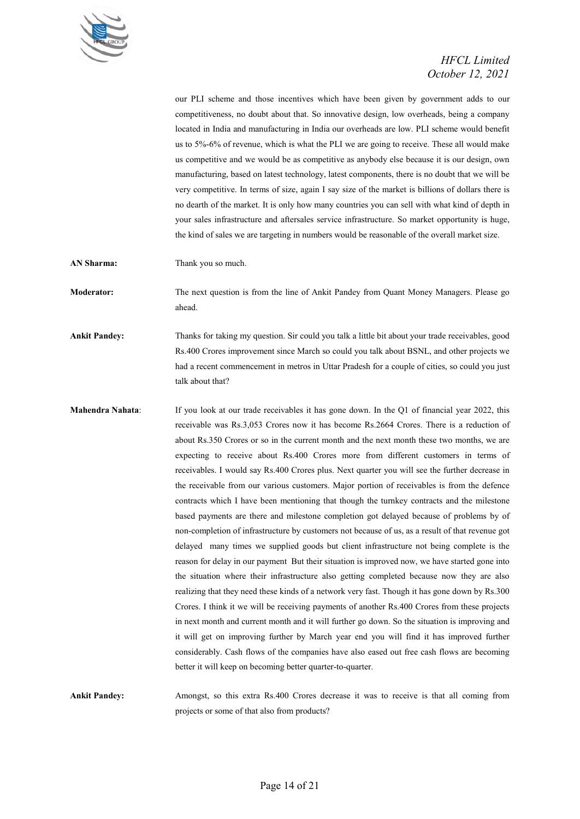

our PLI scheme and those incentives which have been given by government adds to our competitiveness, no doubt about that. So innovative design, low overheads, being a company located in India and manufacturing in India our overheads are low. PLI scheme would benefit us to 5%-6% of revenue, which is what the PLI we are going to receive. These all would make us competitive and we would be as competitive as anybody else because it is our design, own manufacturing, based on latest technology, latest components, there is no doubt that we will be very competitive. In terms of size, again I say size of the market is billions of dollars there is no dearth of the market. It is only how many countries you can sell with what kind of depth in your sales infrastructure and aftersales service infrastructure. So market opportunity is huge, the kind of sales we are targeting in numbers would be reasonable of the overall market size.

**AN Sharma:** Thank you so much.

**Moderator:** The next question is from the line of Ankit Pandey from Quant Money Managers. Please go ahead.

**Ankit Pandey:** Thanks for taking my question. Sir could you talk a little bit about your trade receivables, good Rs.400 Crores improvement since March so could you talk about BSNL, and other projects we had a recent commencement in metros in Uttar Pradesh for a couple of cities, so could you just talk about that?

**Mahendra Nahata:** If you look at our trade receivables it has gone down. In the Q1 of financial year 2022, this receivable was Rs.3,053 Crores now it has become Rs.2664 Crores. There is a reduction of about Rs.350 Crores or so in the current month and the next month these two months, we are expecting to receive about Rs.400 Crores more from different customers in terms of receivables. I would say Rs.400 Crores plus. Next quarter you will see the further decrease in the receivable from our various customers. Major portion of receivables is from the defence contracts which I have been mentioning that though the turnkey contracts and the milestone based payments are there and milestone completion got delayed because of problems by of non-completion of infrastructure by customers not because of us, as a result of that revenue got delayed many times we supplied goods but client infrastructure not being complete is the reason for delay in our payment But their situation is improved now, we have started gone into the situation where their infrastructure also getting completed because now they are also realizing that they need these kinds of a network very fast. Though it has gone down by Rs.300 Crores. I think it we will be receiving payments of another Rs.400 Crores from these projects in next month and current month and it will further go down. So the situation is improving and it will get on improving further by March year end you will find it has improved further considerably. Cash flows of the companies have also eased out free cash flows are becoming better it will keep on becoming better quarter-to-quarter.

**Ankit Pandey:** Amongst, so this extra Rs.400 Crores decrease it was to receive is that all coming from projects or some of that also from products?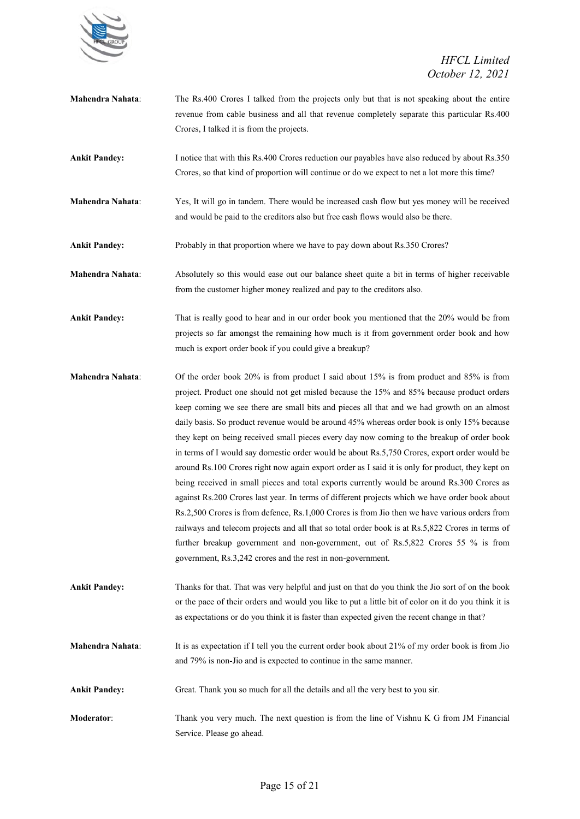

**Mahendra Nahata**: The Rs.400 Crores I talked from the projects only but that is not speaking about the entire revenue from cable business and all that revenue completely separate this particular Rs.400 Crores, I talked it is from the projects.

**Ankit Pandey:** I notice that with this Rs.400 Crores reduction our payables have also reduced by about Rs.350 Crores, so that kind of proportion will continue or do we expect to net a lot more this time?

**Mahendra Nahata**: Yes, It will go in tandem. There would be increased cash flow but yes money will be received and would be paid to the creditors also but free cash flows would also be there.

**Ankit Pandey:** Probably in that proportion where we have to pay down about Rs.350 Crores?

**Mahendra Nahata**: Absolutely so this would ease out our balance sheet quite a bit in terms of higher receivable from the customer higher money realized and pay to the creditors also.

**Ankit Pandey:** That is really good to hear and in our order book you mentioned that the 20% would be from projects so far amongst the remaining how much is it from government order book and how much is export order book if you could give a breakup?

**Mahendra Nahata**: Of the order book 20% is from product I said about 15% is from product and 85% is from project. Product one should not get misled because the 15% and 85% because product orders keep coming we see there are small bits and pieces all that and we had growth on an almost daily basis. So product revenue would be around 45% whereas order book is only 15% because they kept on being received small pieces every day now coming to the breakup of order book in terms of I would say domestic order would be about Rs.5,750 Crores, export order would be around Rs.100 Crores right now again export order as I said it is only for product, they kept on being received in small pieces and total exports currently would be around Rs.300 Crores as against Rs.200 Crores last year. In terms of different projects which we have order book about Rs.2,500 Crores is from defence, Rs.1,000 Crores is from Jio then we have various orders from railways and telecom projects and all that so total order book is at Rs.5,822 Crores in terms of further breakup government and non-government, out of Rs.5,822 Crores 55 % is from government, Rs.3,242 crores and the rest in non-government.

**Ankit Pandey:** Thanks for that. That was very helpful and just on that do you think the Jio sort of on the book or the pace of their orders and would you like to put a little bit of color on it do you think it is as expectations or do you think it is faster than expected given the recent change in that?

**Mahendra Nahata**: It is as expectation if I tell you the current order book about 21% of my order book is from Jio and 79% is non-Jio and is expected to continue in the same manner.

**Ankit Pandey:** Great. Thank you so much for all the details and all the very best to you sir.

**Moderator**: Thank you very much. The next question is from the line of Vishnu K G from JM Financial Service. Please go ahead.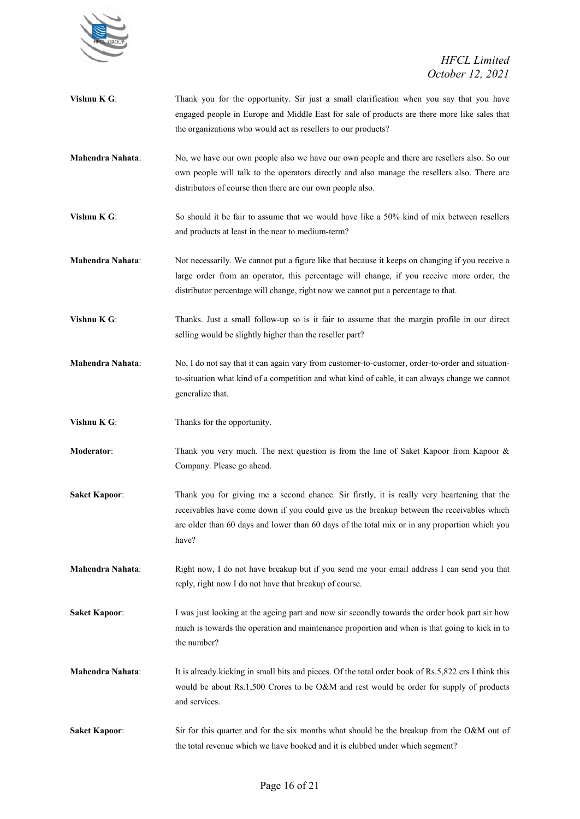

| Vishnu K G:             | Thank you for the opportunity. Sir just a small clarification when you say that you have<br>engaged people in Europe and Middle East for sale of products are there more like sales that<br>the organizations who would act as resellers to our products?                                          |
|-------------------------|----------------------------------------------------------------------------------------------------------------------------------------------------------------------------------------------------------------------------------------------------------------------------------------------------|
| <b>Mahendra Nahata:</b> | No, we have our own people also we have our own people and there are resellers also. So our<br>own people will talk to the operators directly and also manage the resellers also. There are<br>distributors of course then there are our own people also.                                          |
| Vishnu K G:             | So should it be fair to assume that we would have like a 50% kind of mix between resellers<br>and products at least in the near to medium-term?                                                                                                                                                    |
| <b>Mahendra Nahata:</b> | Not necessarily. We cannot put a figure like that because it keeps on changing if you receive a<br>large order from an operator, this percentage will change, if you receive more order, the<br>distributor percentage will change, right now we cannot put a percentage to that.                  |
| Vishnu K G:             | Thanks. Just a small follow-up so is it fair to assume that the margin profile in our direct<br>selling would be slightly higher than the reseller part?                                                                                                                                           |
| Mahendra Nahata:        | No, I do not say that it can again vary from customer-to-customer, order-to-order and situation-<br>to-situation what kind of a competition and what kind of cable, it can always change we cannot<br>generalize that.                                                                             |
|                         |                                                                                                                                                                                                                                                                                                    |
| Vishnu K G:             | Thanks for the opportunity.                                                                                                                                                                                                                                                                        |
| <b>Moderator:</b>       | Thank you very much. The next question is from the line of Saket Kapoor from Kapoor $\&$<br>Company. Please go ahead.                                                                                                                                                                              |
| <b>Saket Kapoor:</b>    | Thank you for giving me a second chance. Sir firstly, it is really very heartening that the<br>receivables have come down if you could give us the breakup between the receivables which<br>are older than 60 days and lower than 60 days of the total mix or in any proportion which you<br>have? |
| <b>Mahendra Nahata:</b> | Right now, I do not have breakup but if you send me your email address I can send you that<br>reply, right now I do not have that breakup of course.                                                                                                                                               |
| <b>Saket Kapoor:</b>    | I was just looking at the ageing part and now sir secondly towards the order book part sir how<br>much is towards the operation and maintenance proportion and when is that going to kick in to<br>the number?                                                                                     |
| <b>Mahendra Nahata:</b> | It is already kicking in small bits and pieces. Of the total order book of Rs.5,822 crs I think this<br>would be about Rs.1,500 Crores to be O&M and rest would be order for supply of products<br>and services.                                                                                   |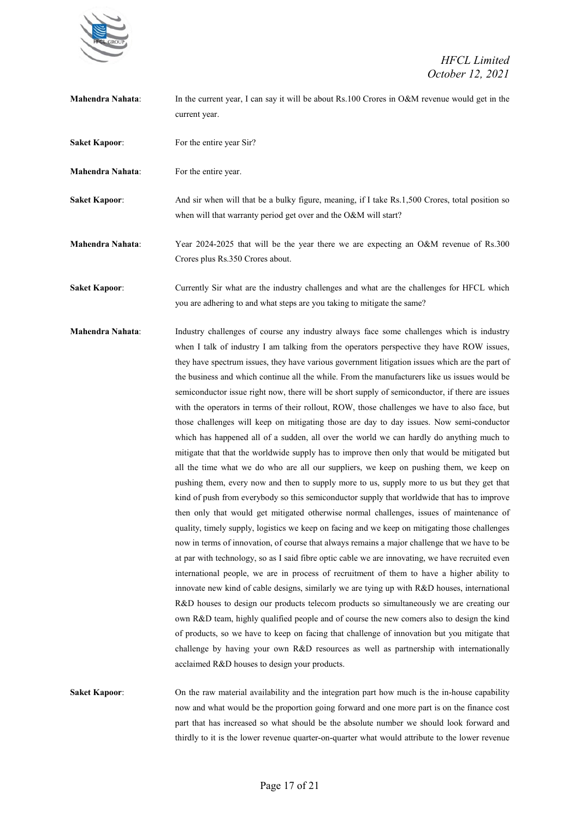

- **Mahendra Nahata:** In the current year, I can say it will be about Rs.100 Crores in O&M revenue would get in the current year.
- **Saket Kapoor:** For the entire year Sir?
- **Mahendra Nahata:** For the entire year.

**Saket Kapoor:** And sir when will that be a bulky figure, meaning, if I take Rs.1,500 Crores, total position so when will that warranty period get over and the O&M will start?

**Mahendra Nahata**: Year 2024-2025 that will be the year there we are expecting an O&M revenue of Rs.300 Crores plus Rs.350 Crores about.

**Saket Kapoor:** Currently Sir what are the industry challenges and what are the challenges for HFCL which you are adhering to and what steps are you taking to mitigate the same?

**Mahendra Nahata**: Industry challenges of course any industry always face some challenges which is industry when I talk of industry I am talking from the operators perspective they have ROW issues, they have spectrum issues, they have various government litigation issues which are the part of the business and which continue all the while. From the manufacturers like us issues would be semiconductor issue right now, there will be short supply of semiconductor, if there are issues with the operators in terms of their rollout, ROW, those challenges we have to also face, but those challenges will keep on mitigating those are day to day issues. Now semi-conductor which has happened all of a sudden, all over the world we can hardly do anything much to mitigate that that the worldwide supply has to improve then only that would be mitigated but all the time what we do who are all our suppliers, we keep on pushing them, we keep on pushing them, every now and then to supply more to us, supply more to us but they get that kind of push from everybody so this semiconductor supply that worldwide that has to improve then only that would get mitigated otherwise normal challenges, issues of maintenance of quality, timely supply, logistics we keep on facing and we keep on mitigating those challenges now in terms of innovation, of course that always remains a major challenge that we have to be at par with technology, so as I said fibre optic cable we are innovating, we have recruited even international people, we are in process of recruitment of them to have a higher ability to innovate new kind of cable designs, similarly we are tying up with R&D houses, international R&D houses to design our products telecom products so simultaneously we are creating our own R&D team, highly qualified people and of course the new comers also to design the kind of products, so we have to keep on facing that challenge of innovation but you mitigate that challenge by having your own R&D resources as well as partnership with internationally acclaimed R&D houses to design your products.

**Saket Kapoor:** On the raw material availability and the integration part how much is the in-house capability now and what would be the proportion going forward and one more part is on the finance cost part that has increased so what should be the absolute number we should look forward and thirdly to it is the lower revenue quarter-on-quarter what would attribute to the lower revenue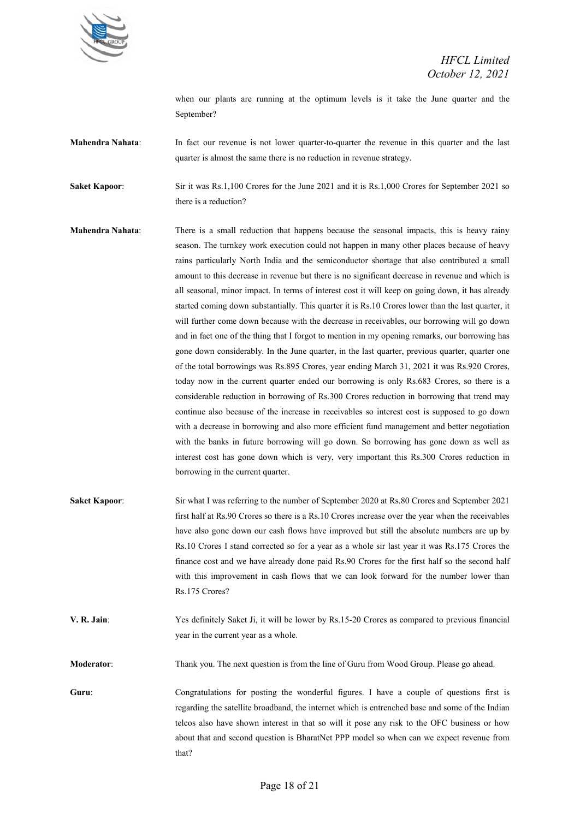

when our plants are running at the optimum levels is it take the June quarter and the September?

**Mahendra Nahata**: In fact our revenue is not lower quarter-to-quarter the revenue in this quarter and the last quarter is almost the same there is no reduction in revenue strategy.

**Saket Kapoor:** Sir it was Rs.1,100 Crores for the June 2021 and it is Rs.1,000 Crores for September 2021 so there is a reduction?

- **Mahendra Nahata**: There is a small reduction that happens because the seasonal impacts, this is heavy rainy season. The turnkey work execution could not happen in many other places because of heavy rains particularly North India and the semiconductor shortage that also contributed a small amount to this decrease in revenue but there is no significant decrease in revenue and which is all seasonal, minor impact. In terms of interest cost it will keep on going down, it has already started coming down substantially. This quarter it is Rs.10 Crores lower than the last quarter, it will further come down because with the decrease in receivables, our borrowing will go down and in fact one of the thing that I forgot to mention in my opening remarks, our borrowing has gone down considerably. In the June quarter, in the last quarter, previous quarter, quarter one of the total borrowings was Rs.895 Crores, year ending March 31, 2021 it was Rs.920 Crores, today now in the current quarter ended our borrowing is only Rs.683 Crores, so there is a considerable reduction in borrowing of Rs.300 Crores reduction in borrowing that trend may continue also because of the increase in receivables so interest cost is supposed to go down with a decrease in borrowing and also more efficient fund management and better negotiation with the banks in future borrowing will go down. So borrowing has gone down as well as interest cost has gone down which is very, very important this Rs.300 Crores reduction in borrowing in the current quarter.
- **Saket Kapoor**: Sir what I was referring to the number of September 2020 at Rs.80 Crores and September 2021 first half at Rs.90 Crores so there is a Rs.10 Crores increase over the year when the receivables have also gone down our cash flows have improved but still the absolute numbers are up by Rs.10 Crores I stand corrected so for a year as a whole sir last year it was Rs.175 Crores the finance cost and we have already done paid Rs.90 Crores for the first half so the second half with this improvement in cash flows that we can look forward for the number lower than Rs.175 Crores?
- **V. R. Jain**: Yes definitely Saket Ji, it will be lower by Rs.15-20 Crores as compared to previous financial year in the current year as a whole.

**Moderator**: Thank you. The next question is from the line of Guru from Wood Group. Please go ahead.

**Guru**: Congratulations for posting the wonderful figures. I have a couple of questions first is regarding the satellite broadband, the internet which is entrenched base and some of the Indian telcos also have shown interest in that so will it pose any risk to the OFC business or how about that and second question is BharatNet PPP model so when can we expect revenue from that?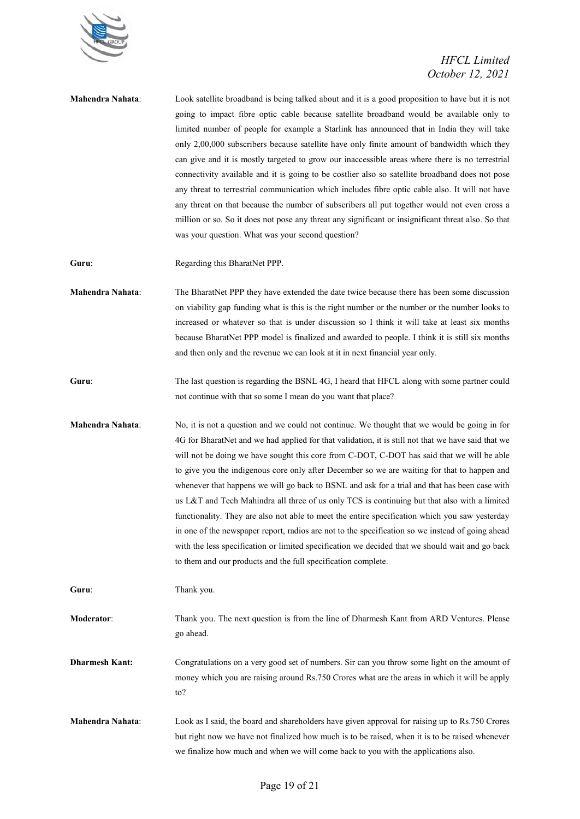

| Mahendra Nahata:        | Look satellite broadband is being talked about and it is a good proposition to have but it is not<br>going to impact fibre optic cable because satellite broadband would be available only to<br>limited number of people for example a Starlink has announced that in India they will take<br>only 2,00,000 subscribers because satellite have only finite amount of bandwidth which they<br>can give and it is mostly targeted to grow our inaccessible areas where there is no terrestrial<br>connectivity available and it is going to be costlier also so satellite broadband does not pose<br>any threat to terrestrial communication which includes fibre optic cable also. It will not have<br>any threat on that because the number of subscribers all put together would not even cross a<br>million or so. So it does not pose any threat any significant or insignificant threat also. So that<br>was your question. What was your second question?             |
|-------------------------|-----------------------------------------------------------------------------------------------------------------------------------------------------------------------------------------------------------------------------------------------------------------------------------------------------------------------------------------------------------------------------------------------------------------------------------------------------------------------------------------------------------------------------------------------------------------------------------------------------------------------------------------------------------------------------------------------------------------------------------------------------------------------------------------------------------------------------------------------------------------------------------------------------------------------------------------------------------------------------|
| Guru:                   | Regarding this BharatNet PPP.                                                                                                                                                                                                                                                                                                                                                                                                                                                                                                                                                                                                                                                                                                                                                                                                                                                                                                                                               |
| <b>Mahendra Nahata:</b> | The BharatNet PPP they have extended the date twice because there has been some discussion<br>on viability gap funding what is this is the right number or the number or the number looks to<br>increased or whatever so that is under discussion so I think it will take at least six months<br>because BharatNet PPP model is finalized and awarded to people. I think it is still six months<br>and then only and the revenue we can look at it in next financial year only.                                                                                                                                                                                                                                                                                                                                                                                                                                                                                             |
| Guru:                   | The last question is regarding the BSNL 4G, I heard that HFCL along with some partner could<br>not continue with that so some I mean do you want that place?                                                                                                                                                                                                                                                                                                                                                                                                                                                                                                                                                                                                                                                                                                                                                                                                                |
| Mahendra Nahata:        | No, it is not a question and we could not continue. We thought that we would be going in for<br>4G for BharatNet and we had applied for that validation, it is still not that we have said that we<br>will not be doing we have sought this core from C-DOT, C-DOT has said that we will be able<br>to give you the indigenous core only after December so we are waiting for that to happen and<br>whenever that happens we will go back to BSNL and ask for a trial and that has been case with<br>us L&T and Tech Mahindra all three of us only TCS is continuing but that also with a limited<br>functionality. They are also not able to meet the entire specification which you saw yesterday<br>in one of the newspaper report, radios are not to the specification so we instead of going ahead<br>with the less specification or limited specification we decided that we should wait and go back<br>to them and our products and the full specification complete. |
| Guru:                   | Thank you.                                                                                                                                                                                                                                                                                                                                                                                                                                                                                                                                                                                                                                                                                                                                                                                                                                                                                                                                                                  |
| Moderator:              | Thank you. The next question is from the line of Dharmesh Kant from ARD Ventures. Please<br>go ahead.                                                                                                                                                                                                                                                                                                                                                                                                                                                                                                                                                                                                                                                                                                                                                                                                                                                                       |
| <b>Dharmesh Kant:</b>   | Congratulations on a very good set of numbers. Sir can you throw some light on the amount of<br>money which you are raising around Rs.750 Crores what are the areas in which it will be apply<br>to?                                                                                                                                                                                                                                                                                                                                                                                                                                                                                                                                                                                                                                                                                                                                                                        |
| Mahendra Nahata:        | Look as I said, the board and shareholders have given approval for raising up to Rs.750 Crores<br>but right now we have not finalized how much is to be raised, when it is to be raised whenever<br>we finalize how much and when we will come back to you with the applications also.                                                                                                                                                                                                                                                                                                                                                                                                                                                                                                                                                                                                                                                                                      |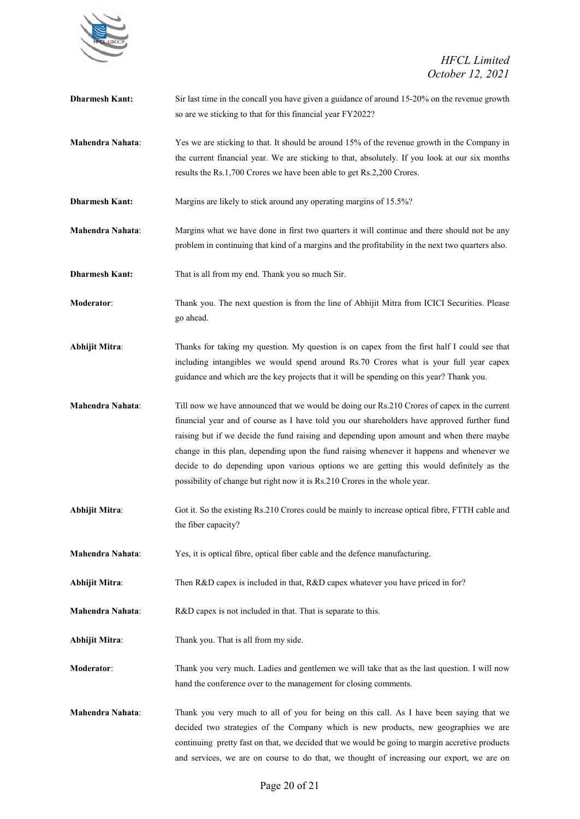

**Dharmesh Kant:** Sir last time in the concall you have given a guidance of around 15-20% on the revenue growth so are we sticking to that for this financial year FY2022? **Mahendra Nahata**: Yes we are sticking to that. It should be around 15% of the revenue growth in the Company in the current financial year. We are sticking to that, absolutely. If you look at our six months results the Rs.1,700 Crores we have been able to get Rs.2,200 Crores. **Dharmesh Kant:** Margins are likely to stick around any operating margins of 15.5%? **Mahendra Nahata**: Margins what we have done in first two quarters it will continue and there should not be any problem in continuing that kind of a margins and the profitability in the next two quarters also. **Dharmesh Kant:** That is all from my end. Thank you so much Sir. **Moderator:** Thank you. The next question is from the line of Abhijit Mitra from ICICI Securities. Please go ahead. **Abhijit Mitra**: Thanks for taking my question. My question is on capex from the first half I could see that including intangibles we would spend around Rs.70 Crores what is your full year capex guidance and which are the key projects that it will be spending on this year? Thank you. **Mahendra Nahata**: Till now we have announced that we would be doing our Rs.210 Crores of capex in the current financial year and of course as I have told you our shareholders have approved further fund raising but if we decide the fund raising and depending upon amount and when there maybe change in this plan, depending upon the fund raising whenever it happens and whenever we decide to do depending upon various options we are getting this would definitely as the possibility of change but right now it is Rs.210 Crores in the whole year. **Abhijit Mitra**: Got it. So the existing Rs.210 Crores could be mainly to increase optical fibre, FTTH cable and the fiber capacity? **Mahendra Nahata**: Yes, it is optical fibre, optical fiber cable and the defence manufacturing. **Abhijit Mitra**: Then R&D capex is included in that, R&D capex whatever you have priced in for? **Mahendra Nahata**: R&D capex is not included in that. That is separate to this. Abhijit Mitra: Thank you. That is all from my side. **Moderator**: Thank you very much. Ladies and gentlemen we will take that as the last question. I will now hand the conference over to the management for closing comments. **Mahendra Nahata**: Thank you very much to all of you for being on this call. As I have been saying that we decided two strategies of the Company which is new products, new geographies we are continuing pretty fast on that, we decided that we would be going to margin accretive products and services, we are on course to do that, we thought of increasing our export, we are on